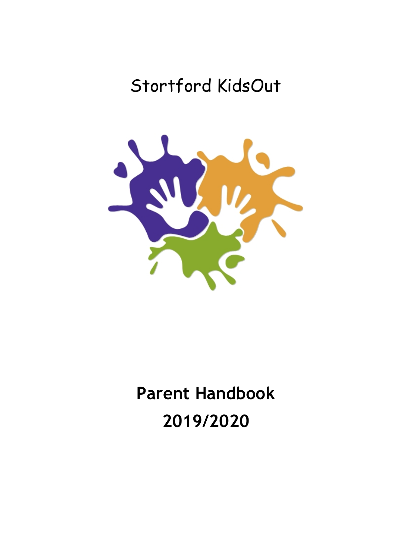# Stortford KidsOut



# **Parent Handbook 2019/2020**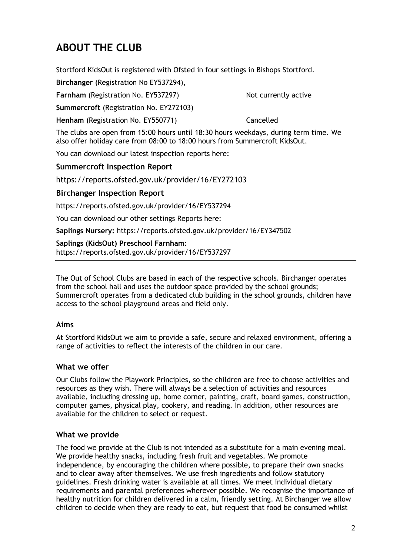# **ABOUT THE CLUB**

Stortford KidsOut is registered with Ofsted in four settings in Bishops Stortford.

**Birchanger** (Registration No EY537294),

**Farnham** (Registration No. EY537297) Not currently active

**Summercroft** (Registration No. EY272103)

**Henham** (Registration No. EY550771) Cancelled

The clubs are open from 15:00 hours until 18:30 hours weekdays, during term time. We also offer holiday care from 08:00 to 18:00 hours from Summercroft KidsOut.

You can download our latest inspection reports here:

#### **Summercroft Inspection Report**

https://reports.ofsted.gov.uk/provider/16/EY272103

#### **Birchanger Inspection Report**

https://reports.ofsted.gov.uk/provider/16/EY537294

You can download our other settings Reports here:

**Saplings Nursery:** https://reports.ofsted.gov.uk/provider/16/EY347502

#### **Saplings (KidsOut) Preschool Farnham:**

https://reports.ofsted.gov.uk/provider/16/EY537297

The Out of School Clubs are based in each of the respective schools. Birchanger operates from the school hall and uses the outdoor space provided by the school grounds; Summercroft operates from a dedicated club building in the school grounds, children have access to the school playground areas and field only.

#### **Aims**

At Stortford KidsOut we aim to provide a safe, secure and relaxed environment, offering a range of activities to reflect the interests of the children in our care.

#### **What we offer**

Our Clubs follow the Playwork Principles, so the children are free to choose activities and resources as they wish. There will always be a selection of activities and resources available, including dressing up, home corner, painting, craft, board games, construction, computer games, physical play, cookery, and reading. In addition, other resources are available for the children to select or request.

#### **What we provide**

The food we provide at the Club is not intended as a substitute for a main evening meal. We provide healthy snacks, including fresh fruit and vegetables. We promote independence, by encouraging the children where possible, to prepare their own snacks and to clear away after themselves. We use fresh ingredients and follow statutory guidelines. Fresh drinking water is available at all times. We meet individual dietary requirements and parental preferences wherever possible. We recognise the importance of healthy nutrition for children delivered in a calm, friendly setting. At Birchanger we allow children to decide when they are ready to eat, but request that food be consumed whilst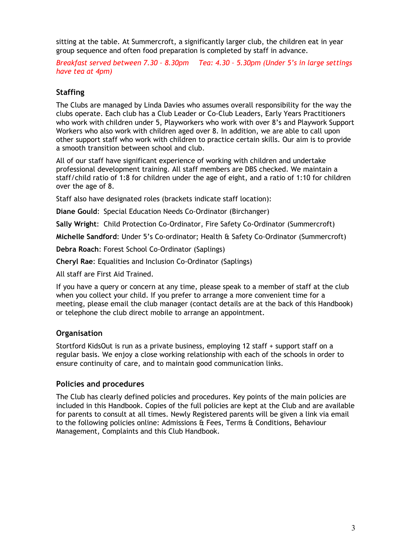sitting at the table. At Summercroft, a significantly larger club, the children eat in year group sequence and often food preparation is completed by staff in advance.

*Breakfast served between 7.30 – 8.30pm Tea: 4.30 – 5.30pm (Under 5's in large settings have tea at 4pm)*

#### **Staffing**

The Clubs are managed by Linda Davies who assumes overall responsibility for the way the clubs operate. Each club has a Club Leader or Co-Club Leaders, Early Years Practitioners who work with children under 5, Playworkers who work with over 8's and Playwork Support Workers who also work with children aged over 8. In addition, we are able to call upon other support staff who work with children to practice certain skills. Our aim is to provide a smooth transition between school and club.

All of our staff have significant experience of working with children and undertake professional development training. All staff members are DBS checked. We maintain a staff/child ratio of 1:8 for children under the age of eight, and a ratio of 1:10 for children over the age of 8.

Staff also have designated roles (brackets indicate staff location):

**Diane Gould**: Special Education Needs Co-Ordinator (Birchanger)

**Sally Wright**: Child Protection Co-Ordinator, Fire Safety Co-Ordinator (Summercroft)

**Michelle Sandford**: Under 5's Co-ordinator; Health & Safety Co-Ordinator (Summercroft)

**Debra Roach**: Forest School Co-Ordinator (Saplings)

**Cheryl Rae**: Equalities and Inclusion Co-Ordinator (Saplings)

All staff are First Aid Trained.

If you have a query or concern at any time, please speak to a member of staff at the club when you collect your child. If you prefer to arrange a more convenient time for a meeting, please email the club manager (contact details are at the back of this Handbook) or telephone the club direct mobile to arrange an appointment.

#### **Organisation**

Stortford KidsOut is run as a private business, employing 12 staff + support staff on a regular basis. We enjoy a close working relationship with each of the schools in order to ensure continuity of care, and to maintain good communication links.

#### **Policies and procedures**

The Club has clearly defined policies and procedures. Key points of the main policies are included in this Handbook. Copies of the full policies are kept at the Club and are available for parents to consult at all times. Newly Registered parents will be given a link via email to the following policies online: Admissions & Fees, Terms & Conditions, Behaviour Management, Complaints and this Club Handbook.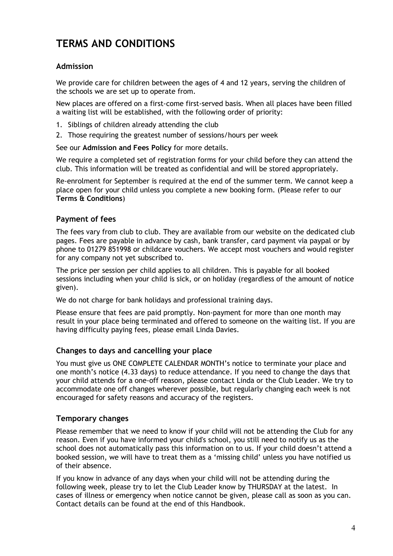# **TERMS AND CONDITIONS**

#### **Admission**

We provide care for children between the ages of 4 and 12 years, serving the children of the schools we are set up to operate from.

New places are offered on a first-come first-served basis. When all places have been filled a waiting list will be established, with the following order of priority:

- 1. Siblings of children already attending the club
- 2. Those requiring the greatest number of sessions/hours per week

See our **Admission and Fees Policy** for more details.

We require a completed set of registration forms for your child before they can attend the club. This information will be treated as confidential and will be stored appropriately.

Re-enrolment for September is required at the end of the summer term. We cannot keep a place open for your child unless you complete a new booking form. (Please refer to our **Terms & Conditions**)

#### **Payment of fees**

The fees vary from club to club. They are available from our website on the dedicated club pages. Fees are payable in advance by cash, bank transfer, card payment via paypal or by phone to 01279 851998 or childcare vouchers. We accept most vouchers and would register for any company not yet subscribed to.

The price per session per child applies to all children. This is payable for all booked sessions including when your child is sick, or on holiday (regardless of the amount of notice given).

We do not charge for bank holidays and professional training days.

Please ensure that fees are paid promptly. Non-payment for more than one month may result in your place being terminated and offered to someone on the waiting list. If you are having difficulty paying fees, please email Linda Davies.

#### **Changes to days and cancelling your place**

You must give us ONE COMPLETE CALENDAR MONTH's notice to terminate your place and one month's notice (4.33 days) to reduce attendance. If you need to change the days that your child attends for a one-off reason, please contact Linda or the Club Leader. We try to accommodate one off changes wherever possible, but regularly changing each week is not encouraged for safety reasons and accuracy of the registers.

#### **Temporary changes**

Please remember that we need to know if your child will not be attending the Club for any reason. Even if you have informed your child's school, you still need to notify us as the school does not automatically pass this information on to us. If your child doesn't attend a booked session, we will have to treat them as a 'missing child' unless you have notified us of their absence.

If you know in advance of any days when your child will not be attending during the following week, please try to let the Club Leader know by THURSDAY at the latest. In cases of illness or emergency when notice cannot be given, please call as soon as you can. Contact details can be found at the end of this Handbook.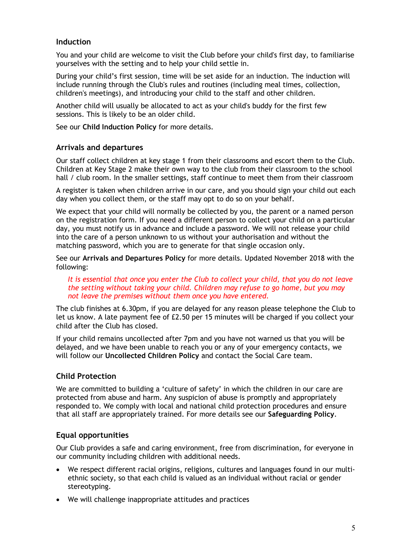#### **Induction**

You and your child are welcome to visit the Club before your child's first day, to familiarise yourselves with the setting and to help your child settle in.

During your child's first session, time will be set aside for an induction. The induction will include running through the Club's rules and routines (including meal times, collection, children's meetings), and introducing your child to the staff and other children.

Another child will usually be allocated to act as your child's buddy for the first few sessions. This is likely to be an older child.

See our **Child Induction Policy** for more details.

#### **Arrivals and departures**

Our staff collect children at key stage 1 from their classrooms and escort them to the Club. Children at Key Stage 2 make their own way to the club from their classroom to the school hall / club room. In the smaller settings, staff continue to meet them from their classroom

A register is taken when children arrive in our care, and you should sign your child out each day when you collect them, or the staff may opt to do so on your behalf.

We expect that your child will normally be collected by you, the parent or a named person on the registration form. If you need a different person to collect your child on a particular day, you must notify us in advance and include a password. We will not release your child into the care of a person unknown to us without your authorisation and without the matching password, which you are to generate for that single occasion only.

See our **Arrivals and Departures Policy** for more details. Updated November 2018 with the following:

*It is essential that once you enter the Club to collect your child, that you do not leave the setting without taking your child. Children may refuse to go home, but you may not leave the premises without them once you have entered.*

The club finishes at 6.30pm, if you are delayed for any reason please telephone the Club to let us know. A late payment fee of £2.50 per 15 minutes will be charged if you collect your child after the Club has closed.

If your child remains uncollected after 7pm and you have not warned us that you will be delayed, and we have been unable to reach you or any of your emergency contacts, we will follow our **Uncollected Children Policy** and contact the Social Care team.

#### **Child Protection**

We are committed to building a 'culture of safety' in which the children in our care are protected from abuse and harm. Any suspicion of abuse is promptly and appropriately responded to. We comply with local and national child protection procedures and ensure that all staff are appropriately trained. For more details see our **Safeguarding Policy**.

#### **Equal opportunities**

Our Club provides a safe and caring environment, free from discrimination, for everyone in our community including children with additional needs.

- We respect different racial origins, religions, cultures and languages found in our multiethnic society, so that each child is valued as an individual without racial or gender stereotyping.
- We will challenge inappropriate attitudes and practices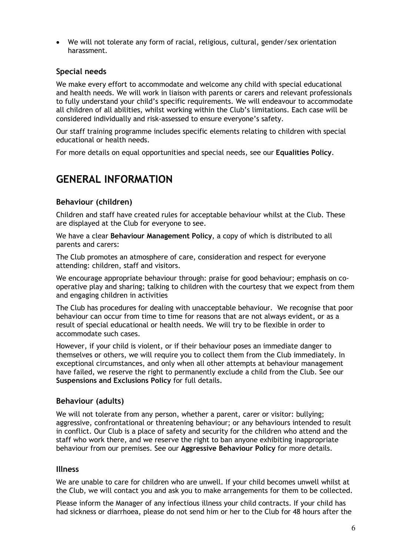• We will not tolerate any form of racial, religious, cultural, gender/sex orientation harassment.

#### **Special needs**

We make every effort to accommodate and welcome any child with special educational and health needs. We will work in liaison with parents or carers and relevant professionals to fully understand your child's specific requirements. We will endeavour to accommodate all children of all abilities, whilst working within the Club's limitations. Each case will be considered individually and risk-assessed to ensure everyone's safety.

Our staff training programme includes specific elements relating to children with special educational or health needs.

For more details on equal opportunities and special needs, see our **Equalities Policy**.

### **GENERAL INFORMATION**

#### **Behaviour (children)**

Children and staff have created rules for acceptable behaviour whilst at the Club. These are displayed at the Club for everyone to see.

We have a clear **Behaviour Management Policy**, a copy of which is distributed to all parents and carers:

The Club promotes an atmosphere of care, consideration and respect for everyone attending: children, staff and visitors.

We encourage appropriate behaviour through: praise for good behaviour; emphasis on cooperative play and sharing; talking to children with the courtesy that we expect from them and engaging children in activities

The Club has procedures for dealing with unacceptable behaviour. We recognise that poor behaviour can occur from time to time for reasons that are not always evident, or as a result of special educational or health needs. We will try to be flexible in order to accommodate such cases.

However, if your child is violent, or if their behaviour poses an immediate danger to themselves or others, we will require you to collect them from the Club immediately. In exceptional circumstances, and only when all other attempts at behaviour management have failed, we reserve the right to permanently exclude a child from the Club. See our **Suspensions and Exclusions Policy** for full details.

#### **Behaviour (adults)**

We will not tolerate from any person, whether a parent, carer or visitor: bullying; aggressive, confrontational or threatening behaviour; or any behaviours intended to result in conflict. Our Club is a place of safety and security for the children who attend and the staff who work there, and we reserve the right to ban anyone exhibiting inappropriate behaviour from our premises. See our **Aggressive Behaviour Policy** for more details.

#### **Illness**

We are unable to care for children who are unwell. If your child becomes unwell whilst at the Club, we will contact you and ask you to make arrangements for them to be collected.

Please inform the Manager of any infectious illness your child contracts. If your child has had sickness or diarrhoea, please do not send him or her to the Club for 48 hours after the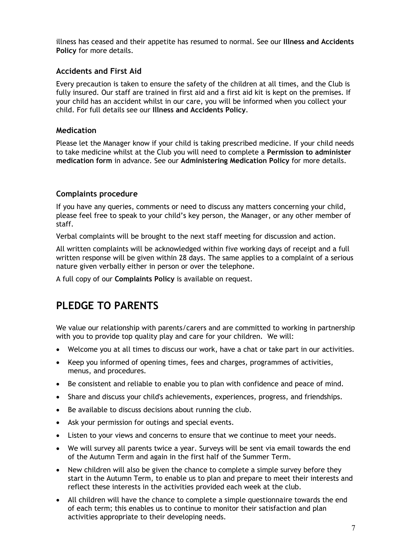illness has ceased and their appetite has resumed to normal. See our **Illness and Accidents Policy** for more details.

#### **Accidents and First Aid**

Every precaution is taken to ensure the safety of the children at all times, and the Club is fully insured. Our staff are trained in first aid and a first aid kit is kept on the premises. If your child has an accident whilst in our care, you will be informed when you collect your child. For full details see our **Illness and Accidents Policy**.

#### **Medication**

Please let the Manager know if your child is taking prescribed medicine. If your child needs to take medicine whilst at the Club you will need to complete a **Permission to administer medication form** in advance. See our **Administering Medication Policy** for more details.

#### **Complaints procedure**

If you have any queries, comments or need to discuss any matters concerning your child, please feel free to speak to your child's key person, the Manager, or any other member of staff.

Verbal complaints will be brought to the next staff meeting for discussion and action.

All written complaints will be acknowledged within five working days of receipt and a full written response will be given within 28 days. The same applies to a complaint of a serious nature given verbally either in person or over the telephone.

A full copy of our **Complaints Policy** is available on request.

## **PLEDGE TO PARENTS**

We value our relationship with parents/carers and are committed to working in partnership with you to provide top quality play and care for your children. We will:

- Welcome you at all times to discuss our work, have a chat or take part in our activities.
- Keep you informed of opening times, fees and charges, programmes of activities, menus, and procedures.
- Be consistent and reliable to enable you to plan with confidence and peace of mind.
- Share and discuss your child's achievements, experiences, progress, and friendships.
- Be available to discuss decisions about running the club.
- Ask your permission for outings and special events.
- Listen to your views and concerns to ensure that we continue to meet your needs.
- We will survey all parents twice a year. Surveys will be sent via email towards the end of the Autumn Term and again in the first half of the Summer Term.
- New children will also be given the chance to complete a simple survey before they start in the Autumn Term, to enable us to plan and prepare to meet their interests and reflect these interests in the activities provided each week at the club.
- All children will have the chance to complete a simple questionnaire towards the end of each term; this enables us to continue to monitor their satisfaction and plan activities appropriate to their developing needs.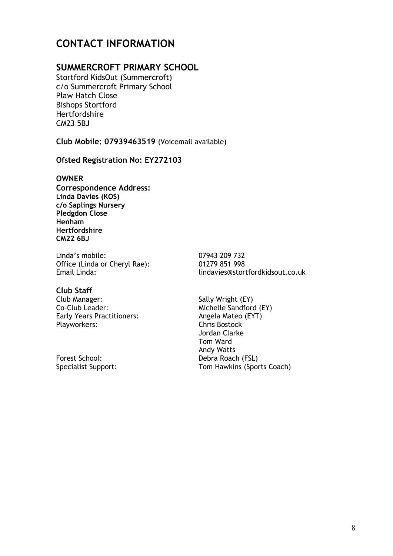# **CONTACT INFORMATION**

#### **SUMMERCROFT PRIMARY SCHOOL**

Stortford KidsOut (Summercroft) c/o Summercroft Primary School Plaw Hatch Close Bishops Stortford Hertfordshire CM23 5BJ

**Club Mobile: 07939463519** (Voicemail available)

#### **Ofsted Registration No: EY272103**

#### **OWNER**

**Correspondence Address: Linda Davies (KOS) c/o Saplings Nursery Pledgdon Close Henham Hertfordshire CM22 6BJ**

Linda's mobile: 07943 209 732<br>Office (Linda or Cheryl Rae): 01279 851 998 Office (Linda or Cheryl Rae):<br>Email Linda:

**Club Staff** Club Manager: Sally Wright (EY)<br>
Co-Club Leader: Sally Michelle Sandford Early Years Practitioners: Angela Mateo (EXT)<br>Playworkers: Angela Mateo (EXT) Playworkers:

Email Linda: lindavies@stortfordkidsout.co.uk

Michelle Sandford (EY)<br>Angela Mateo (EYT) Jordan Clarke Tom Ward Andy Watts Forest School: Debra Roach (FSL) Specialist Support: Tom Hawkins (Sports Coach)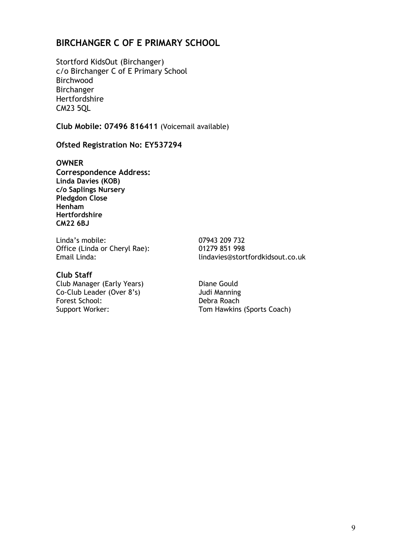### **BIRCHANGER C OF E PRIMARY SCHOOL**

Stortford KidsOut (Birchanger) c/o Birchanger C of E Primary School Birchwood Birchanger Hertfordshire CM23 5QL

**Club Mobile: 07496 816411** (Voicemail available)

#### **Ofsted Registration No: EY537294**

**OWNER**

**Correspondence Address: Linda Davies (KOB) c/o Saplings Nursery Pledgdon Close Henham Hertfordshire CM22 6BJ**

Linda's mobile: 07943 209 732<br>Office (Linda or Chervl Rae): 01279 851 998 Office (Linda or Cheryl Rae):<br>Email Linda:

#### **Club Staff**

Club Manager (Early Years) Diane Gould<br>
Co-Club Leader (Over 8's) Sudi Manning Co-Club Leader (Over 8's) Judi Manning<br>
Forest School: Debra Roach Forest School:

Email Linda: lindavies@stortfordkidsout.co.uk

Support Worker: Tom Hawkins (Sports Coach)